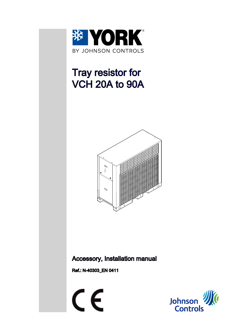

# Tray resistor for VCH 20A to 90A



## Accessory, Installation manual

Ref.: N-40303\_EN 0411



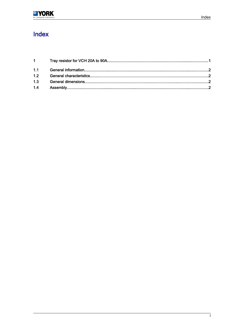# Index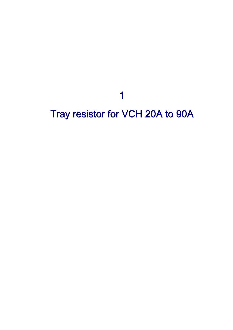1

# <span id="page-2-0"></span>Tray resistor for VCH 20A to 90A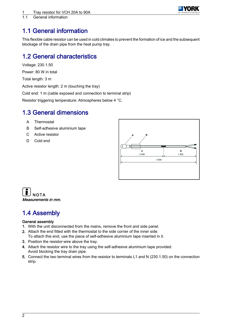

<span id="page-3-0"></span>1.1 General information

## 1.1 General information

This flexible cable resistor can be used in cold climates to prevent the formation of ice and the subsequent blockage of the drain pipe from the heat pump tray.

### 1.2 General characteristics

Voltage: 230.1.50

Power: 80 W in total

Total length: 3 m

Active resistor length: 2 m (touching the tray)

Cold end: 1 m (cable exposed and connection to terminal strip)

Resistor triggering temperature: Atmospheres below 4 °C.

### 1.3 General dimensions

- A Thermostat
- B Self-adhesive aluminium tape
- C Active resistor
- D Cold end





## 1.4 Assembly

#### General assembly

- 1. With the unit disconnected from the mains, remove the front and side panel.
- 2. Attach the end fitted with the thermostat to the side corner of the inner side. To attach this end, use the piece of self-adhesive aluminium tape inserted in it.
- 3. Position the resistor-wire above the tray.
- 4. Attach the resistor wire to the tray using the self-adhesive aluminium tape provided. Avoid blocking the tray drain pipe.
- 5. Connect the two terminal wires from the resistor to terminals L1 and N (230.1.50) on the connection strip.